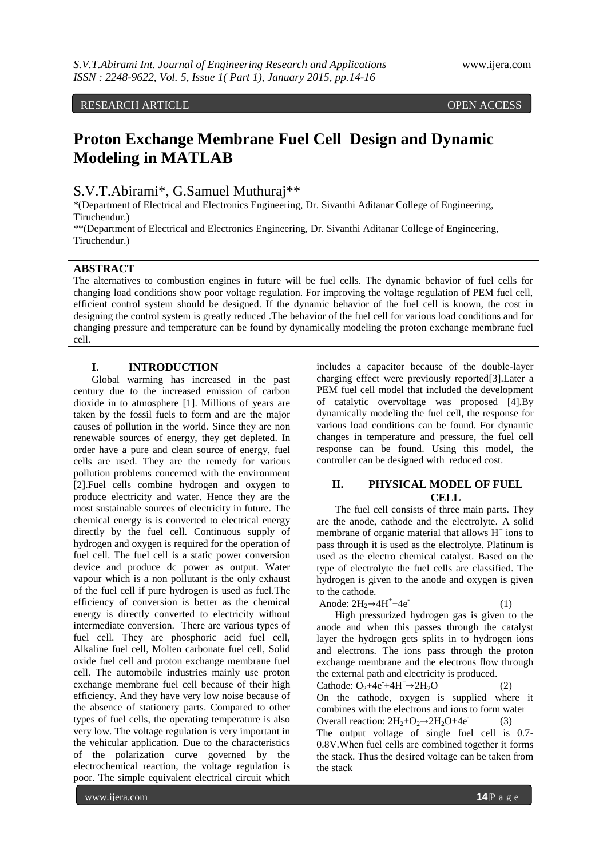RESEARCH ARTICLE **CONSERVERS** 

# **Proton Exchange Membrane Fuel Cell Design and Dynamic Modeling in MATLAB**

# S.V.T.Abirami\*, G.Samuel Muthuraj\*\*

\*(Department of Electrical and Electronics Engineering, Dr. Sivanthi Aditanar College of Engineering, Tiruchendur.)

\*\*(Department of Electrical and Electronics Engineering, Dr. Sivanthi Aditanar College of Engineering, Tiruchendur.)

## **ABSTRACT**

The alternatives to combustion engines in future will be fuel cells. The dynamic behavior of fuel cells for changing load conditions show poor voltage regulation. For improving the voltage regulation of PEM fuel cell, efficient control system should be designed. If the dynamic behavior of the fuel cell is known, the cost in designing the control system is greatly reduced .The behavior of the fuel cell for various load conditions and for changing pressure and temperature can be found by dynamically modeling the proton exchange membrane fuel cell.

## **I. INTRODUCTION**

Global warming has increased in the past century due to the increased emission of carbon dioxide in to atmosphere [1]. Millions of years are taken by the fossil fuels to form and are the major causes of pollution in the world. Since they are non renewable sources of energy, they get depleted. In order have a pure and clean source of energy, fuel cells are used. They are the remedy for various pollution problems concerned with the environment [2].Fuel cells combine hydrogen and oxygen to produce electricity and water. Hence they are the most sustainable sources of electricity in future. The chemical energy is is converted to electrical energy directly by the fuel cell. Continuous supply of hydrogen and oxygen is required for the operation of fuel cell. The fuel cell is a static power conversion device and produce dc power as output. Water vapour which is a non pollutant is the only exhaust of the fuel cell if pure hydrogen is used as fuel.The efficiency of conversion is better as the chemical energy is directly converted to electricity without intermediate conversion. There are various types of fuel cell. They are phosphoric acid fuel cell, Alkaline fuel cell, Molten carbonate fuel cell, Solid oxide fuel cell and proton exchange membrane fuel cell. The automobile industries mainly use proton exchange membrane fuel cell because of their high efficiency. And they have very low noise because of the absence of stationery parts. Compared to other types of fuel cells, the operating temperature is also very low. The voltage regulation is very important in the vehicular application. Due to the characteristics of the polarization curve governed by the electrochemical reaction, the voltage regulation is poor. The simple equivalent electrical circuit which

includes a capacitor because of the double-layer charging effect were previously reported[3].Later a PEM fuel cell model that included the development of catalytic overvoltage was proposed [4].By dynamically modeling the fuel cell, the response for various load conditions can be found. For dynamic changes in temperature and pressure, the fuel cell response can be found. Using this model, the controller can be designed with reduced cost.

## **II. PHYSICAL MODEL OF FUEL CELL**

The fuel cell consists of three main parts. They are the anode, cathode and the electrolyte. A solid membrane of organic material that allows  $H^+$  ions to pass through it is used as the electrolyte. Platinum is used as the electro chemical catalyst. Based on the type of electrolyte the fuel cells are classified. The hydrogen is given to the anode and oxygen is given to the cathode.

```
Anode: 2H_2 \rightarrow 4H^+ + 4e^- (1)
```
High pressurized hydrogen gas is given to the anode and when this passes through the catalyst layer the hydrogen gets splits in to hydrogen ions and electrons. The ions pass through the proton exchange membrane and the electrons flow through the external path and electricity is produced.

Cathode:  $O_2 + 4e^+ + 4H^+ \rightarrow 2H_2O$  (2) On the cathode, oxygen is supplied where it combines with the electrons and ions to form water Overall reaction:  $2H_2+O_2\rightarrow 2H_2O+4e^ (3)$ The output voltage of single fuel cell is 0.7- 0.8V.When fuel cells are combined together it forms the stack. Thus the desired voltage can be taken from the stack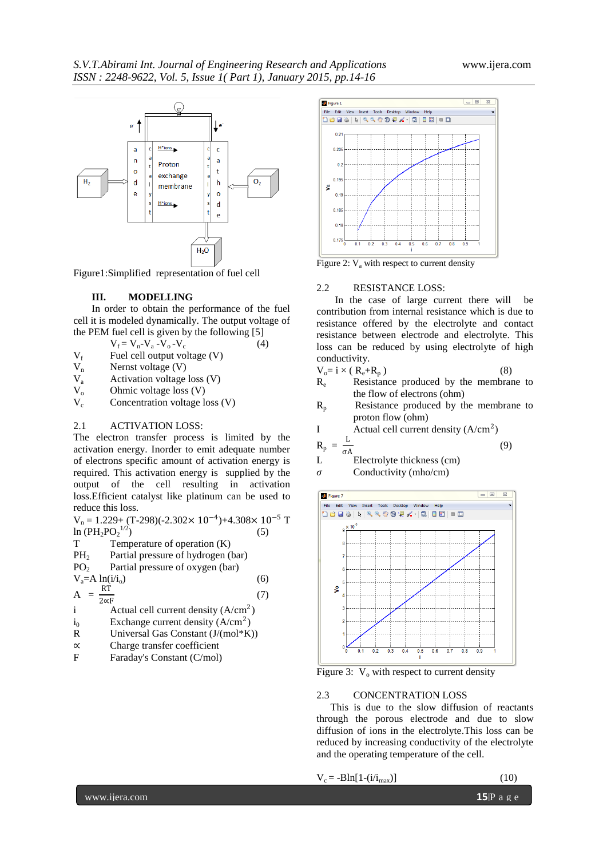

Figure1:Simplified representation of fuel cell

#### **III. MODELLING**

In order to obtain the performance of the fuel cell it is modeled dynamically. The output voltage of the PEM fuel cell is given by the following [5]

$$
V_f = V_n - V_a - V_o - V_c \tag{4}
$$

- $V_f$  Fuel cell output voltage (V)
- $V_n$  Nernst voltage (V)<br>  $V_a$  Activation voltage
- $V_a$  Activation voltage loss (V)<br>  $V_o$  Ohmic voltage loss (V)
- $V_o$  Ohmic voltage loss (V)<br> $V_c$  Concentration voltage loss
- Concentration voltage loss (V)

#### 2.1 ACTIVATION LOSS:

The electron transfer process is limited by the activation energy. Inorder to emit adequate number of electrons specific amount of activation energy is required. This activation energy is supplied by the output of the cell resulting in activation loss.Efficient catalyst like platinum can be used to reduce this loss.

 $V_n = 1.229 + (T-298)(-2.302 \times 10^{-4}) + 4.308 \times 10^{-5}$  T ln  $(PH_2PO_2^{1/2})$ <br>T Temp  $\binom{1/2}{2}$  (5)

- Temperature of operation  $(K)$
- PH<sub>2</sub> Partial pressure of hydrogen (bar)
- $PO<sub>2</sub>$  Partial pressure of oxygen (bar)

$$
V_a = A \ln(i/i_0) \tag{6}
$$

$$
A = \frac{RT}{2\alpha F} \tag{7}
$$

- i Actual cell current density  $(A/cm<sup>2</sup>)$
- $i_0$  Exchange current density  $(A/cm^2)$
- R Universal Gas Constant (J/(mol\*K))
- ∝ Charge transfer coefficient
- F Faraday's Constant (C/mol)



Figure 2:  $V_a$  with respect to current density

#### 2.2 RESISTANCE LOSS:

In the case of large current there will be contribution from internal resistance which is due to resistance offered by the electrolyte and contact resistance between electrode and electrolyte. This loss can be reduced by using electrolyte of high conductivity.

$$
V_o = i \times (R_e + R_p) \tag{8}
$$

- R<sub>e</sub> Resistance produced by the membrane to the flow of electrons (ohm)
- $R_p$  Resistance produced by the membrane to proton flow (ohm)

$$
I
$$
 Actual cell current density ( $A/cm^2$ )

$$
R_p = \frac{L}{\pi}
$$

σA (9) L Electrolyte thickness (cm)

 $\sigma$  Conductivity (mho/cm)



Figure 3:  $V_0$  with respect to current density

## 2.3 CONCENTRATION LOSS

This is due to the slow diffusion of reactants through the porous electrode and due to slow diffusion of ions in the electrolyte.This loss can be reduced by increasing conductivity of the electrolyte and the operating temperature of the cell.

$$
V_c = -B\ln[1-(i/i_{max})]
$$
 (10)

www.ijera.com **15**|P a g e